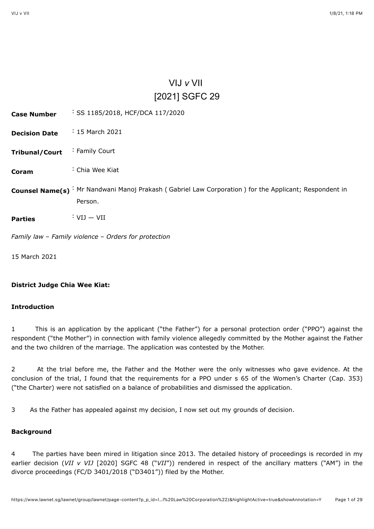# VIJ *v* VII [\[2021\] SGFC 29](javascript:viewPageContent()

<span id="page-0-0"></span>

| <b>Case Number</b>     | SS 1185/2018, HCF/DCA 117/2020                                                                    |
|------------------------|---------------------------------------------------------------------------------------------------|
| <b>Decision Date</b>   | $\frac{1}{2}$ 15 March 2021                                                                       |
| <b>Tribunal/Court</b>  | : Family Court                                                                                    |
| Coram                  | : Chia Wee Kiat                                                                                   |
| <b>Counsel Name(s)</b> | : Mr Nandwani Manoj Prakash (Gabriel Law Corporation) for the Applicant; Respondent in<br>Person. |
| <b>Parties</b>         | $: VIJ - VII$                                                                                     |
|                        | Family law - Family violence - Orders for protection                                              |
| 15 March 2021          |                                                                                                   |

# **District Judge Chia Wee Kiat:**

# **Introduction**

1 This is an application by the applicant ("the Father") for a personal protection order ("PPO") against the respondent ("the Mother") in connection with family violence allegedly committed by the Mother against the Father and the two children of the marriage. The application was contested by the Mother.

2 At the trial before me, the Father and the Mother were the only witnesses who gave evidence. At the conclusion of the trial, I found that the requirements for a PPO under s 65 of the Women's Charter (Cap. 353) ("the Charter) were not satisfied on a balance of probabilities and dismissed the application.

3 As the Father has appealed against my decision, I now set out my grounds of decision.

# **Background**

4 The parties have been mired in litigation since 2013. The detailed history of proceedings is recorded in my earlier decision (*VII v VIJ* [\[2020\] SGFC 48](javascript:viewPageContent() ("*VII*")) rendered in respect of the ancillary matters ("AM") in the divorce proceedings (FC/D 3401/2018 ("D3401")) filed by the Mother.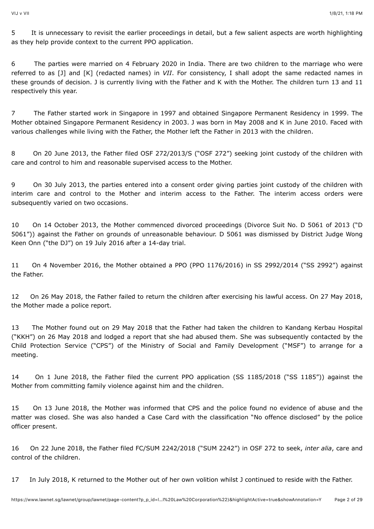5 It is unnecessary to revisit the earlier proceedings in detail, but a few salient aspects are worth highlighting as they help provide context to the current PPO application.

6 The parties were married on 4 February 2020 in India. There are two children to the marriage who were referred to as [J] and [K] (redacted names) in *VII*. For consistency, I shall adopt the same redacted names in these grounds of decision. J is currently living with the Father and K with the Mother. The children turn 13 and 11 respectively this year.

7 The Father started work in Singapore in 1997 and obtained Singapore Permanent Residency in 1999. The Mother obtained Singapore Permanent Residency in 2003. J was born in May 2008 and K in June 2010. Faced with various challenges while living with the Father, the Mother left the Father in 2013 with the children.

8 On 20 June 2013, the Father filed OSF 272/2013/S ("OSF 272") seeking joint custody of the children with care and control to him and reasonable supervised access to the Mother.

9 On 30 July 2013, the parties entered into a consent order giving parties joint custody of the children with interim care and control to the Mother and interim access to the Father. The interim access orders were subsequently varied on two occasions.

10 On 14 October 2013, the Mother commenced divorced proceedings (Divorce Suit No. D 5061 of 2013 ("D 5061")) against the Father on grounds of unreasonable behaviour. D 5061 was dismissed by District Judge Wong Keen Onn ("the DJ") on 19 July 2016 after a 14-day trial.

11 On 4 November 2016, the Mother obtained a PPO (PPO 1176/2016) in SS 2992/2014 ("SS 2992") against the Father.

12 On 26 May 2018, the Father failed to return the children after exercising his lawful access. On 27 May 2018, the Mother made a police report.

13 The Mother found out on 29 May 2018 that the Father had taken the children to Kandang Kerbau Hospital ("KKH") on 26 May 2018 and lodged a report that she had abused them. She was subsequently contacted by the Child Protection Service ("CPS") of the Ministry of Social and Family Development ("MSF") to arrange for a meeting.

14 On 1 June 2018, the Father filed the current PPO application (SS 1185/2018 ("SS 1185")) against the Mother from committing family violence against him and the children.

15 On 13 June 2018, the Mother was informed that CPS and the police found no evidence of abuse and the matter was closed. She was also handed a Case Card with the classification "No offence disclosed" by the police officer present.

16 On 22 June 2018, the Father filed FC/SUM 2242/2018 ("SUM 2242") in OSF 272 to seek, *inter alia*, care and control of the children.

17 In July 2018, K returned to the Mother out of her own volition whilst J continued to reside with the Father.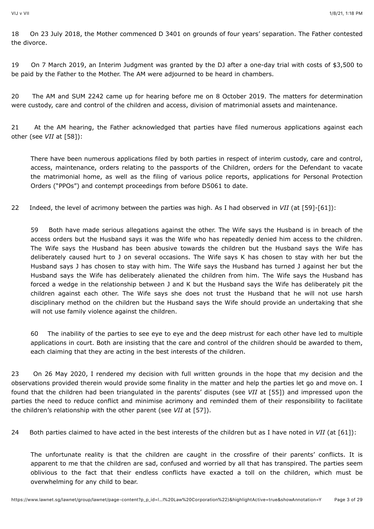18 On 23 July 2018, the Mother commenced D 3401 on grounds of four years' separation. The Father contested the divorce.

19 On 7 March 2019, an Interim Judgment was granted by the DJ after a one-day trial with costs of \$3,500 to be paid by the Father to the Mother. The AM were adjourned to be heard in chambers.

20 The AM and SUM 2242 came up for hearing before me on 8 October 2019. The matters for determination were custody, care and control of the children and access, division of matrimonial assets and maintenance.

21 At the AM hearing, the Father acknowledged that parties have filed numerous applications against each other (see *VII* at [58]):

There have been numerous applications filed by both parties in respect of interim custody, care and control, access, maintenance, orders relating to the passports of the Children, orders for the Defendant to vacate the matrimonial home, as well as the filing of various police reports, applications for Personal Protection Orders ("PPOs") and contempt proceedings from before D5061 to date.

22 Indeed, the level of acrimony between the parties was high. As I had observed in *VII* (at [59]-[61]):

59 Both have made serious allegations against the other. The Wife says the Husband is in breach of the access orders but the Husband says it was the Wife who has repeatedly denied him access to the children. The Wife says the Husband has been abusive towards the children but the Husband says the Wife has deliberately caused hurt to J on several occasions. The Wife says K has chosen to stay with her but the Husband says J has chosen to stay with him. The Wife says the Husband has turned J against her but the Husband says the Wife has deliberately alienated the children from him. The Wife says the Husband has forced a wedge in the relationship between J and K but the Husband says the Wife has deliberately pit the children against each other. The Wife says she does not trust the Husband that he will not use harsh disciplinary method on the children but the Husband says the Wife should provide an undertaking that she will not use family violence against the children.

60 The inability of the parties to see eye to eye and the deep mistrust for each other have led to multiple applications in court. Both are insisting that the care and control of the children should be awarded to them, each claiming that they are acting in the best interests of the children.

23 On 26 May 2020, I rendered my decision with full written grounds in the hope that my decision and the observations provided therein would provide some finality in the matter and help the parties let go and move on. I found that the children had been triangulated in the parents' disputes (see *VII* at [55]) and impressed upon the parties the need to reduce conflict and minimise acrimony and reminded them of their responsibility to facilitate the children's relationship with the other parent (see *VII* at [57]).

24 Both parties claimed to have acted in the best interests of the children but as I have noted in *VII* (at [61]):

The unfortunate reality is that the children are caught in the crossfire of their parents' conflicts. It is apparent to me that the children are sad, confused and worried by all that has transpired. The parties seem oblivious to the fact that their endless conflicts have exacted a toll on the children, which must be overwhelming for any child to bear.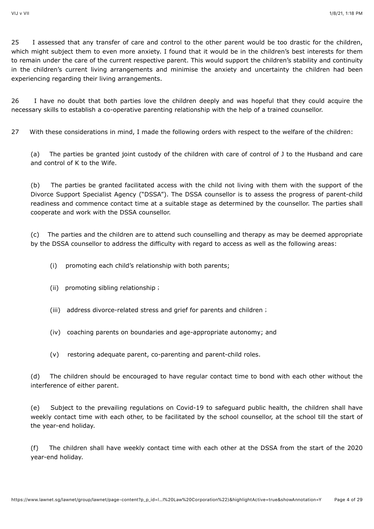25 I assessed that any transfer of care and control to the other parent would be too drastic for the children, which might subject them to even more anxiety. I found that it would be in the children's best interests for them to remain under the care of the current respective parent. This would support the children's stability and continuity in the children's current living arrangements and minimise the anxiety and uncertainty the children had been experiencing regarding their living arrangements.

26 I have no doubt that both parties love the children deeply and was hopeful that they could acquire the necessary skills to establish a co-operative parenting relationship with the help of a trained counsellor.

27 With these considerations in mind, I made the following orders with respect to the welfare of the children:

(a) The parties be granted joint custody of the children with care of control of J to the Husband and care and control of K to the Wife.

(b) The parties be granted facilitated access with the child not living with them with the support of the Divorce Support Specialist Agency ("DSSA"). The DSSA counsellor is to assess the progress of parent-child readiness and commence contact time at a suitable stage as determined by the counsellor. The parties shall cooperate and work with the DSSA counsellor.

(c) The parties and the children are to attend such counselling and therapy as may be deemed appropriate by the DSSA counsellor to address the difficulty with regard to access as well as the following areas:

- (i) promoting each child's relationship with both parents;
- (ii) promoting sibling relationship;
- (iii) address divorce-related stress and grief for parents and children;
- (iv) coaching parents on boundaries and age-appropriate autonomy; and
- (v) restoring adequate parent, co-parenting and parent-child roles.

(d) The children should be encouraged to have regular contact time to bond with each other without the interference of either parent.

(e) Subject to the prevailing regulations on Covid-19 to safeguard public health, the children shall have weekly contact time with each other, to be facilitated by the school counsellor, at the school till the start of the year-end holiday.

(f) The children shall have weekly contact time with each other at the DSSA from the start of the 2020 year-end holiday.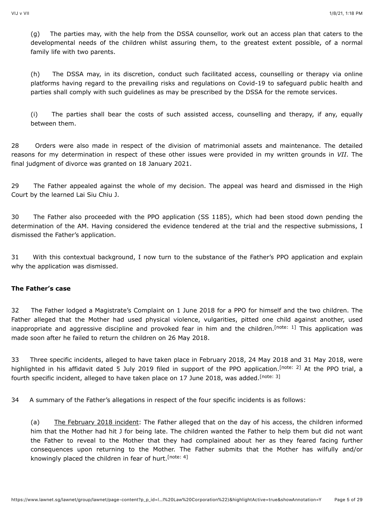(g) The parties may, with the help from the DSSA counsellor, work out an access plan that caters to the developmental needs of the children whilst assuring them, to the greatest extent possible, of a normal family life with two parents.

(h) The DSSA may, in its discretion, conduct such facilitated access, counselling or therapy via online platforms having regard to the prevailing risks and regulations on Covid-19 to safeguard public health and parties shall comply with such guidelines as may be prescribed by the DSSA for the remote services.

(i) The parties shall bear the costs of such assisted access, counselling and therapy, if any, equally between them.

28 Orders were also made in respect of the division of matrimonial assets and maintenance. The detailed reasons for my determination in respect of these other issues were provided in my written grounds in *VII*. The final judgment of divorce was granted on 18 January 2021.

29 The Father appealed against the whole of my decision. The appeal was heard and dismissed in the High Court by the learned Lai Siu Chiu J.

30 The Father also proceeded with the PPO application (SS 1185), which had been stood down pending the determination of the AM. Having considered the evidence tendered at the trial and the respective submissions, I dismissed the Father's application.

31 With this contextual background, I now turn to the substance of the Father's PPO application and explain why the application was dismissed.

# **The Father's case**

32 The Father lodged a Magistrate's Complaint on 1 June 2018 for a PPO for himself and the two children. The Father alleged that the Mother had used physical violence, vulgarities, pitted one child against another, used inappropriate and aggressive discipline and provoked fear in him and the children[.](#page-26-0)<sup>[note: 1]</sup> This application was made soon after he failed to return the children on 26 May 2018.

33 Three specific incidents, alleged to have taken place in February 2018, 24 May 2018 and 31 May 2018, were highlighted in his affidavit dated 5 July 2019 filed in support of the PPO application[.](#page-26-1)<sup>[note: 2]</sup> At the PPO trial, a fourth specific incident, alleged to have taken place on 17 June 2018, was added.<sup>[\[note: 3\]](#page-26-2)</sup>

34 A summary of the Father's allegations in respect of the four specific incidents is as follows:

<span id="page-4-3"></span><span id="page-4-2"></span><span id="page-4-1"></span><span id="page-4-0"></span>(a) The February 2018 incident: The Father alleged that on the day of his access, the children informed him that the Mother had hit J for being late. The children wanted the Father to help them but did not want the Father to reveal to the Mother that they had complained about her as they feared facing further consequences upon returning to the Mother. The Father submits that the Mother has wilfully and/or knowingly placed the children in fear of hurt.<sup>[\[note: 4\]](#page-26-3)</sup>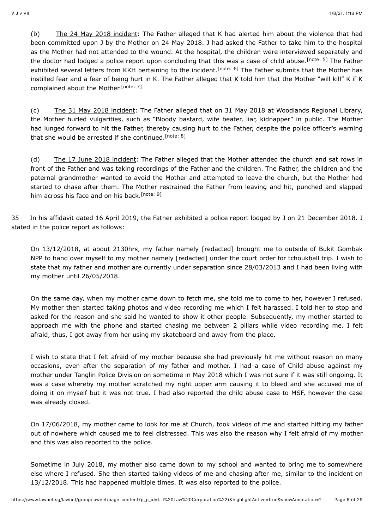<span id="page-5-1"></span><span id="page-5-0"></span>(b) The 24 May 2018 incident: The Father alleged that K had alerted him about the violence that had been committed upon J by the Mother on 24 May 2018. J had asked the Father to take him to the hospital as the Mother had not attended to the wound. At the hospital, the children were interviewed separately and the doctor had lodged a police report upon concluding that this was a case of child abuse[.](#page-26-4)<sup>[note: 5]</sup> The Father exhibited several letters from KKH pertaining to the incident.<sup>[note: 6]</sup> The Father submits that the Mother has instilled fear and a fear of being hurt in K. The Father alleged that K told him that the Mother "will kill" K if K complained about the Mother.<sup>[\[note: 7\]](#page-26-6)</sup>

<span id="page-5-3"></span><span id="page-5-2"></span>(c) The 31 May 2018 incident: The Father alleged that on 31 May 2018 at Woodlands Regional Library, the Mother hurled vulgarities, such as "Bloody bastard, wife beater, liar, kidnapper" in public. The Mother had lunged forward to hit the Father, thereby causing hurt to the Father, despite the police officer's warning that she would be arrested if she continued.<sup>[\[note: 8\]](#page-26-7)</sup>

<span id="page-5-4"></span>(d) The 17 June 2018 incident: The Father alleged that the Mother attended the church and sat rows in front of the Father and was taking recordings of the Father and the children. The Father, the children and the paternal grandmother wanted to avoid the Mother and attempted to leave the church, but the Mother had started to chase after them. The Mother restrained the Father from leaving and hit, punched and slapped him across his face and on his back.<sup>[\[note: 9\]](#page-26-8)</sup>

35 In his affidavit dated 16 April 2019, the Father exhibited a police report lodged by J on 21 December 2018. J stated in the police report as follows:

On 13/12/2018, at about 2130hrs, my father namely [redacted] brought me to outside of Bukit Gombak NPP to hand over myself to my mother namely [redacted] under the court order for tchoukball trip. I wish to state that my father and mother are currently under separation since 28/03/2013 and I had been living with my mother until 26/05/2018.

On the same day, when my mother came down to fetch me, she told me to come to her, however I refused. My mother then started taking photos and video recording me which I felt harassed. I told her to stop and asked for the reason and she said he wanted to show it other people. Subsequently, my mother started to approach me with the phone and started chasing me between 2 pillars while video recording me. I felt afraid, thus, I got away from her using my skateboard and away from the place.

I wish to state that I felt afraid of my mother because she had previously hit me without reason on many occasions, even after the separation of my father and mother. I had a case of Child abuse against my mother under Tanglin Police Division on sometime in May 2018 which I was not sure if it was still ongoing. It was a case whereby my mother scratched my right upper arm causing it to bleed and she accused me of doing it on myself but it was not true. I had also reported the child abuse case to MSF, however the case was already closed.

On 17/06/2018, my mother came to look for me at Church, took videos of me and started hitting my father out of nowhere which caused me to feel distressed. This was also the reason why I felt afraid of my mother and this was also reported to the police.

Sometime in July 2018, my mother also came down to my school and wanted to bring me to somewhere else where I refused. She then started taking videos of me and chasing after me, similar to the incident on 13/12/2018. This had happened multiple times. It was also reported to the police.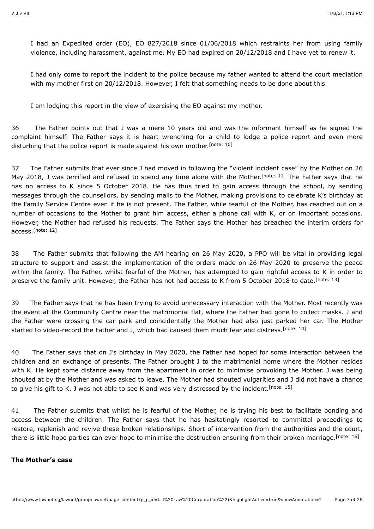I had an Expedited order (EO), EO 827/2018 since 01/06/2018 which restraints her from using family violence, including harassment, against me. My EO had expired on 20/12/2018 and I have yet to renew it.

I had only come to report the incident to the police because my father wanted to attend the court mediation with my mother first on 20/12/2018. However, I felt that something needs to be done about this.

<span id="page-6-1"></span><span id="page-6-0"></span>I am lodging this report in the view of exercising the EO against my mother.

36 The Father points out that J was a mere 10 years old and was the informant himself as he signed the complaint himself. The Father says it is heart wrenching for a child to lodge a police report and even more disturbing that the police report is made against his own mother.<sup>[\[note: 10\]](#page-26-9)</sup>

37 The Father submits that ever since J had moved in following the "violent incident case" by the Mother on 26 May 2018, J was terrified and refused to spend any time alone with the Mother.<sup>[note: 11]</sup> The Father says that he has no access to K since 5 October 2018. He has thus tried to gain access through the school, by sending messages through the counsellors, by sending mails to the Mother, making provisions to celebrate K's birthday at the Family Service Centre even if he is not present. The Father, while fearful of the Mother, has reached out on a number of occasions to the Mother to grant him access, either a phone call with K, or on important occasions. However, the Mother had refused his requests. The Father says the Mother has breached the interim orders for access. [\[note: 12\]](#page-26-11)

<span id="page-6-3"></span><span id="page-6-2"></span>38 The Father submits that following the AM hearing on 26 May 2020, a PPO will be vital in providing legal structure to support and assist the implementation of the orders made on 26 May 2020 to preserve the peace within the family. The Father, whilst fearful of the Mother, has attempted to gain rightful access to K in order to preserve the family unit. However, the Father has not had access to K from 5 October 2018 to date.<sup>[\[note: 13\]](#page-26-12)</sup>

<span id="page-6-4"></span>39 The Father says that he has been trying to avoid unnecessary interaction with the Mother. Most recently was the event at the Community Centre near the matrimonial flat, where the Father had gone to collect masks. J and the Father were crossing the car park and coincidentally the Mother had also just parked her car. The Mother started to video-record the Father and J, which had caused them much fear and distress.<sup>[\[note: 14\]](#page-26-13)</sup>

40 The Father says that on J's birthday in May 2020, the Father had hoped for some interaction between the children and an exchange of presents. The Father brought J to the matrimonial home where the Mother resides with K. He kept some distance away from the apartment in order to minimise provoking the Mother. J was being shouted at by the Mother and was asked to leave. The Mother had shouted vulgarities and J did not have a chance to give his gift to K. J was not able to see K and was very distressed by the incident.<sup>[\[note: 15\]](#page-26-14)</sup>

<span id="page-6-6"></span><span id="page-6-5"></span>41 The Father submits that whilst he is fearful of the Mother, he is trying his best to facilitate bonding and access between the children. The Father says that he has hesitatingly resorted to committal proceedings to restore, replenish and revive these broken relationships. Short of intervention from the authorities and the court, there is little hope parties can ever hope to minimise the destruction ensuring from their broken marriage.<sup>[\[note: 16\]](#page-26-15)</sup>

#### **The Mother's case**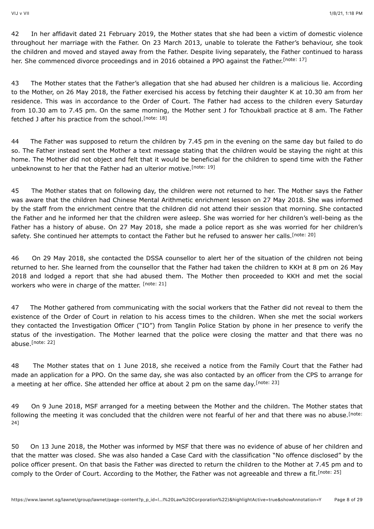<span id="page-7-0"></span>42 In her affidavit dated 21 February 2019, the Mother states that she had been a victim of domestic violence throughout her marriage with the Father. On 23 March 2013, unable to tolerate the Father's behaviour, she took the children and moved and stayed away from the Father. Despite living separately, the Father continued to harass her. She commenced divorce proceedings and in 2016 obtained a PPO against the Father.<sup>[\[note: 17\]](#page-26-16)</sup>

43 The Mother states that the Father's allegation that she had abused her children is a malicious lie. According to the Mother, on 26 May 2018, the Father exercised his access by fetching their daughter K at 10.30 am from her residence. This was in accordance to the Order of Court. The Father had access to the children every Saturday from 10.30 am to 7.45 pm. On the same morning, the Mother sent J for Tchoukball practice at 8 am. The Father fetched J after his practice from the school.<sup>[\[note: 18\]](#page-26-17)</sup>

<span id="page-7-2"></span><span id="page-7-1"></span>44 The Father was supposed to return the children by 7.45 pm in the evening on the same day but failed to do so. The Father instead sent the Mother a text message stating that the children would be staying the night at this home. The Mother did not object and felt that it would be beneficial for the children to spend time with the Father unbeknownst to her that the Father had an ulterior motive.<sup>[\[note: 19\]](#page-26-18)</sup>

45 The Mother states that on following day, the children were not returned to her. The Mother says the Father was aware that the children had Chinese Mental Arithmetic enrichment lesson on 27 May 2018. She was informed by the staff from the enrichment centre that the children did not attend their session that morning. She contacted the Father and he informed her that the children were asleep. She was worried for her children's well-being as the Father has a history of abuse. On 27 May 2018, she made a police report as she was worried for her children's safety. She continued her attempts to contact the Father but he refused to answer her calls.<sup>[\[note: 20\]](#page-26-19)</sup>

<span id="page-7-4"></span><span id="page-7-3"></span>46 On 29 May 2018, she contacted the DSSA counsellor to alert her of the situation of the children not being returned to her. She learned from the counsellor that the Father had taken the children to KKH at 8 pm on 26 May 2018 and lodged a report that she had abused them. The Mother then proceeded to KKH and met the social workers who were in charge of the matter. [\[note: 21\]](#page-26-20)

47 The Mother gathered from communicating with the social workers that the Father did not reveal to them the existence of the Order of Court in relation to his access times to the children. When she met the social workers they contacted the Investigation Officer ("IO") from Tanglin Police Station by phone in her presence to verify the status of the investigation. The Mother learned that the police were closing the matter and that there was no abuse.<sup>[note:</sup> 22]

<span id="page-7-6"></span><span id="page-7-5"></span>48 The Mother states that on 1 June 2018, she received a notice from the Family Court that the Father had made an application for a PPO. On the same day, she was also contacted by an officer from the CPS to arrange for a meeting at her office. She attended her office at about 2 pm on the same day.<sup>[\[note: 23\]](#page-26-22)</sup>

<span id="page-7-7"></span>49 On 9 June 2018, MSF arranged for a meeting between the Mother and the children. The Mother states that [following the meeting it was concluded that the children were not fearful of her and that there was no abuse.](#page-26-23)<sup>[note:</sup> 24]

<span id="page-7-8"></span>50 On 13 June 2018, the Mother was informed by MSF that there was no evidence of abuse of her children and that the matter was closed. She was also handed a Case Card with the classification "No offence disclosed" by the police officer present. On that basis the Father was directed to return the children to the Mother at 7.45 pm and to comply to the Order of Court. According to the Mother, the Father was not agreeable and threw a fit.<sup>[\[note: 25\]](#page-26-24)</sup>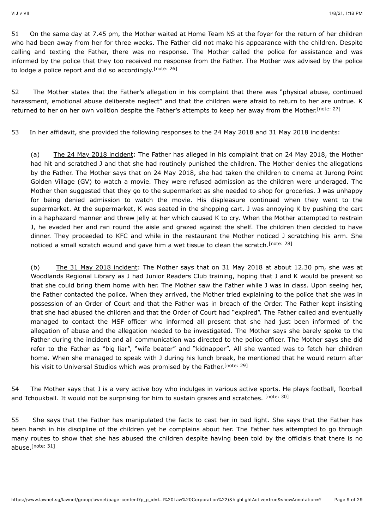51 On the same day at 7.45 pm, the Mother waited at Home Team NS at the foyer for the return of her children who had been away from her for three weeks. The Father did not make his appearance with the children. Despite calling and texting the Father, there was no response. The Mother called the police for assistance and was informed by the police that they too received no response from the Father. The Mother was advised by the police to lodge a police report and did so accordingly.<sup>[\[note: 26\]](#page-26-25)</sup>

<span id="page-8-0"></span>52 The Mother states that the Father's allegation in his complaint that there was "physical abuse, continued harassment, emotional abuse deliberate neglect" and that the children were afraid to return to her are untrue. K returned to her on her own volition despite the Father's attempts to keep her away from the Mother.<sup>[\[note: 27\]](#page-26-26)</sup>

53 In her affidavit, she provided the following responses to the 24 May 2018 and 31 May 2018 incidents:

<span id="page-8-1"></span>(a) The 24 May 2018 incident: The Father has alleged in his complaint that on 24 May 2018, the Mother had hit and scratched J and that she had routinely punished the children. The Mother denies the allegations by the Father. The Mother says that on 24 May 2018, she had taken the children to cinema at Jurong Point Golden Village (GV) to watch a movie. They were refused admission as the children were underaged. The Mother then suggested that they go to the supermarket as she needed to shop for groceries. J was unhappy for being denied admission to watch the movie. His displeasure continued when they went to the supermarket. At the supermarket, K was seated in the shopping cart. J was annoying K by pushing the cart in a haphazard manner and threw jelly at her which caused K to cry. When the Mother attempted to restrain J, he evaded her and ran round the aisle and grazed against the shelf. The children then decided to have dinner. They proceeded to KFC and while in the restaurant the Mother noticed J scratching his arm. She noticed a small scratch wound and gave him a wet tissue to clean the scratch.<sup>[\[note: 28\]](#page-26-27)</sup>

<span id="page-8-2"></span>(b) The 31 May 2018 incident: The Mother says that on 31 May 2018 at about 12.30 pm, she was at Woodlands Regional Library as J had Junior Readers Club training, hoping that J and K would be present so that she could bring them home with her. The Mother saw the Father while J was in class. Upon seeing her, the Father contacted the police. When they arrived, the Mother tried explaining to the police that she was in possession of an Order of Court and that the Father was in breach of the Order. The Father kept insisting that she had abused the children and that the Order of Court had "expired". The Father called and eventually managed to contact the MSF officer who informed all present that she had just been informed of the allegation of abuse and the allegation needed to be investigated. The Mother says she barely spoke to the Father during the incident and all communication was directed to the police officer. The Mother says she did refer to the Father as "big liar", "wife beater" and "kidnapper". All she wanted was to fetch her children home. When she managed to speak with J during his lunch break, he mentioned that he would return after his visit to Universal Studios which was promised by the Father.<sup>[\[note: 29\]](#page-26-28)</sup>

<span id="page-8-4"></span><span id="page-8-3"></span>54 The Mother says that J is a very active boy who indulges in various active sports. He plays football, floorball and Tchoukball. It would not be surprising for him to sustain grazes and scratches. [\[note: 30\]](#page-27-0)

<span id="page-8-5"></span>55 She says that the Father has manipulated the facts to cast her in bad light. She says that the Father has been harsh in his discipline of the children yet he complains about her. The Father has attempted to go through many routes to show that she has abused the children despite having been told by the officials that there is no abuse.<sup>[\[note: 31\]](#page-27-1)</sup>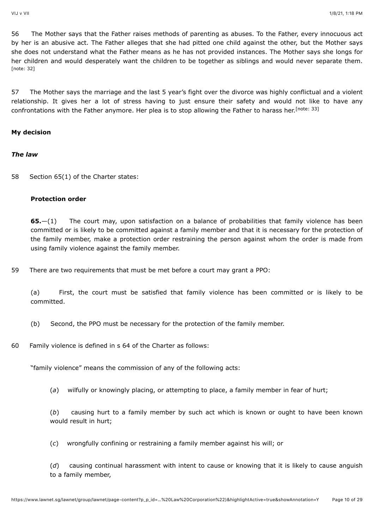56 The Mother says that the Father raises methods of parenting as abuses. To the Father, every innocuous act by her is an abusive act. The Father alleges that she had pitted one child against the other, but the Mother says she does not understand what the Father means as he has not provided instances. The Mother says she longs for her children and would desperately want the children to be together as siblings and would never separate them. [\[note: 32\]](#page-27-2)

<span id="page-9-0"></span>57 The Mother says the marriage and the last 5 year's fight over the divorce was highly conflictual and a violent relationship. It gives her a lot of stress having to just ensure their safety and would not like to have any confrontations with the Father anymore. Her plea is to stop allowing the Father to harass her.<sup>[\[note: 33\]](#page-27-3)</sup>

#### **My decision**

#### *The law*

58 Section 65(1) of the Charter states:

#### <span id="page-9-1"></span>**Protection order**

**65.**—(1) The court may, upon satisfaction on a balance of probabilities that family violence has been committed or is likely to be committed against a family member and that it is necessary for the protection of the family member, make a protection order restraining the person against whom the order is made from using family violence against the family member.

59 There are two requirements that must be met before a court may grant a PPO:

(a) First, the court must be satisfied that family violence has been committed or is likely to be committed.

- (b) Second, the PPO must be necessary for the protection of the family member.
- 60 Family violence is defined in s 64 of the Charter as follows:

"family violence" means the commission of any of the following acts:

(*a*) wilfully or knowingly placing, or attempting to place, a family member in fear of hurt;

(*b*) causing hurt to a family member by such act which is known or ought to have been known would result in hurt;

(*c*) wrongfully confining or restraining a family member against his will; or

(*d*) causing continual harassment with intent to cause or knowing that it is likely to cause anguish to a family member,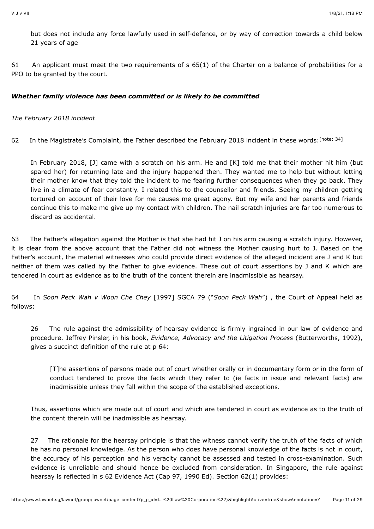but does not include any force lawfully used in self-defence, or by way of correction towards a child below 21 years of age

61 An applicant must meet the two requirements of s 65(1) of the Charter on a balance of probabilities for a PPO to be granted by the court.

# *Whether family violence has been committed or is likely to be committed*

#### *The February 2018 incident*

62 In the Magistrate's Complaint, the Father described the February 2018 incident in these words: [\[note: 34\]](#page-27-4)

<span id="page-10-0"></span>In February 2018, [J] came with a scratch on his arm. He and [K] told me that their mother hit him (but spared her) for returning late and the injury happened then. They wanted me to help but without letting their mother know that they told the incident to me fearing further consequences when they go back. They live in a climate of fear constantly. I related this to the counsellor and friends. Seeing my children getting tortured on account of their love for me causes me great agony. But my wife and her parents and friends continue this to make me give up my contact with children. The nail scratch injuries are far too numerous to discard as accidental.

63 The Father's allegation against the Mother is that she had hit J on his arm causing a scratch injury. However, it is clear from the above account that the Father did not witness the Mother causing hurt to J. Based on the Father's account, the material witnesses who could provide direct evidence of the alleged incident are J and K but neither of them was called by the Father to give evidence. These out of court assertions by J and K which are tendered in court as evidence as to the truth of the content therein are inadmissible as hearsay.

64 In *Soon Peck Wah v Woon Che Chey* [1997] SGCA 79 ("*Soon Peck Wah*") , the Court of Appeal held as follows:

26 The rule against the admissibility of hearsay evidence is firmly ingrained in our law of evidence and procedure. Jeffrey Pinsler, in his book, *Evidence, Advocacy and the Litigation Process* (Butterworths, 1992), gives a succinct definition of the rule at p 64:

[T]he assertions of persons made out of court whether orally or in documentary form or in the form of conduct tendered to prove the facts which they refer to (ie facts in issue and relevant facts) are inadmissible unless they fall within the scope of the established exceptions.

Thus, assertions which are made out of court and which are tendered in court as evidence as to the truth of the content therein will be inadmissible as hearsay.

27 The rationale for the hearsay principle is that the witness cannot verify the truth of the facts of which he has no personal knowledge. As the person who does have personal knowledge of the facts is not in court, the accuracy of his perception and his veracity cannot be assessed and tested in cross-examination. Such evidence is unreliable and should hence be excluded from consideration. In Singapore, the rule against hearsay is reflected in s 62 Evidence Act (Cap 97, 1990 Ed). Section 62(1) provides: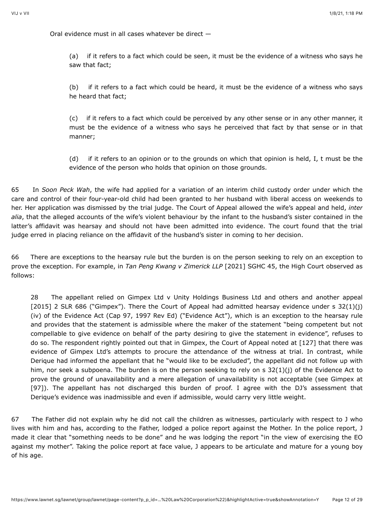Oral evidence must in all cases whatever be direct —

(a) if it refers to a fact which could be seen, it must be the evidence of a witness who says he saw that fact;

(b) if it refers to a fact which could be heard, it must be the evidence of a witness who says he heard that fact;

(c) if it refers to a fact which could be perceived by any other sense or in any other manner, it must be the evidence of a witness who says he perceived that fact by that sense or in that manner;

(d) if it refers to an opinion or to the grounds on which that opinion is held, I, t must be the evidence of the person who holds that opinion on those grounds.

65 In *Soon Peck Wah*, the wife had applied for a variation of an interim child custody order under which the care and control of their four-year-old child had been granted to her husband with liberal access on weekends to her. Her application was dismissed by the trial judge. The Court of Appeal allowed the wife's appeal and held, *inter alia*, that the alleged accounts of the wife's violent behaviour by the infant to the husband's sister contained in the latter's affidavit was hearsay and should not have been admitted into evidence. The court found that the trial judge erred in placing reliance on the affidavit of the husband's sister in coming to her decision.

66 There are exceptions to the hearsay rule but the burden is on the person seeking to rely on an exception to prove the exception. For example, in *Tan Peng Kwang v Zimerick LLP* [\[2021\] SGHC 45,](javascript:viewPageContent() the High Court observed as follows:

28 The appellant relied on Gimpex Ltd v Unity Holdings Business Ltd and others and another appeal [\[2015\] 2 SLR 686](javascript:viewPageContent() ("Gimpex"). There the Court of Appeal had admitted hearsay evidence under s  $32(1)(i)$ (iv) of the Evidence Act (Cap 97, 1997 Rev Ed) ("Evidence Act"), which is an exception to the hearsay rule and provides that the statement is admissible where the maker of the statement "being competent but not compellable to give evidence on behalf of the party desiring to give the statement in evidence", refuses to do so. The respondent rightly pointed out that in Gimpex, the Court of Appeal noted at [127] that there was evidence of Gimpex Ltd's attempts to procure the attendance of the witness at trial. In contrast, while Derique had informed the appellant that he "would like to be excluded", the appellant did not follow up with him, nor seek a subpoena. The burden is on the person seeking to rely on s 32(1)(i) of the Evidence Act to prove the ground of unavailability and a mere allegation of unavailability is not acceptable (see Gimpex at [97]). The appellant has not discharged this burden of proof. I agree with the DJ's assessment that Derique's evidence was inadmissible and even if admissible, would carry very little weight.

67 The Father did not explain why he did not call the children as witnesses, particularly with respect to J who lives with him and has, according to the Father, lodged a police report against the Mother. In the police report, J made it clear that "something needs to be done" and he was lodging the report "in the view of exercising the EO against my mother". Taking the police report at face value, J appears to be articulate and mature for a young boy of his age.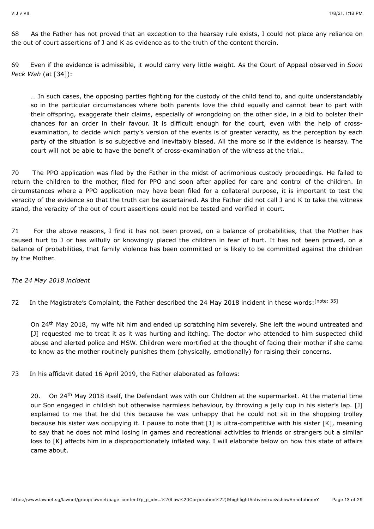68 As the Father has not proved that an exception to the hearsay rule exists, I could not place any reliance on the out of court assertions of J and K as evidence as to the truth of the content therein.

69 Even if the evidence is admissible, it would carry very little weight. As the Court of Appeal observed in *Soon Peck Wah* (at [34]):

… In such cases, the opposing parties fighting for the custody of the child tend to, and quite understandably so in the particular circumstances where both parents love the child equally and cannot bear to part with their offspring, exaggerate their claims, especially of wrongdoing on the other side, in a bid to bolster their chances for an order in their favour. It is difficult enough for the court, even with the help of crossexamination, to decide which party's version of the events is of greater veracity, as the perception by each party of the situation is so subjective and inevitably biased. All the more so if the evidence is hearsay. The court will not be able to have the benefit of cross-examination of the witness at the trial…

70 The PPO application was filed by the Father in the midst of acrimonious custody proceedings. He failed to return the children to the mother, filed for PPO and soon after applied for care and control of the children. In circumstances where a PPO application may have been filed for a collateral purpose, it is important to test the veracity of the evidence so that the truth can be ascertained. As the Father did not call J and K to take the witness stand, the veracity of the out of court assertions could not be tested and verified in court.

71 For the above reasons, I find it has not been proved, on a balance of probabilities, that the Mother has caused hurt to J or has wilfully or knowingly placed the children in fear of hurt. It has not been proved, on a balance of probabilities, that family violence has been committed or is likely to be committed against the children by the Mother.

# *The 24 May 2018 incident*

72 In the Magistrate's Complaint, the Father described the 24 May 2018 incident in these words: [\[note: 35\]](#page-27-5)

<span id="page-12-0"></span>On 24<sup>th</sup> May 2018, my wife hit him and ended up scratching him severely. She left the wound untreated and [J] requested me to treat it as it was hurting and itching. The doctor who attended to him suspected child abuse and alerted police and MSW. Children were mortified at the thought of facing their mother if she came to know as the mother routinely punishes them (physically, emotionally) for raising their concerns.

73 In his affidavit dated 16 April 2019, the Father elaborated as follows:

20. On 24<sup>th</sup> May 2018 itself, the Defendant was with our Children at the supermarket. At the material time our Son engaged in childish but otherwise harmless behaviour, by throwing a jelly cup in his sister's lap. [J] explained to me that he did this because he was unhappy that he could not sit in the shopping trolley because his sister was occupying it. I pause to note that [J] is ultra-competitive with his sister [K], meaning to say that he does not mind losing in games and recreational activities to friends or strangers but a similar loss to [K] affects him in a disproportionately inflated way. I will elaborate below on how this state of affairs came about.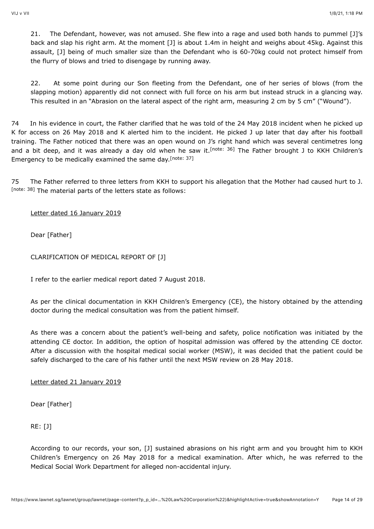21. The Defendant, however, was not amused. She flew into a rage and used both hands to pummel [J]'s back and slap his right arm. At the moment [J] is about 1.4m in height and weighs about 45kg. Against this assault, [J] being of much smaller size than the Defendant who is 60-70kg could not protect himself from the flurry of blows and tried to disengage by running away.

<span id="page-13-0"></span>22. At some point during our Son fleeting from the Defendant, one of her series of blows (from the slapping motion) apparently did not connect with full force on his arm but instead struck in a glancing way. This resulted in an "Abrasion on the lateral aspect of the right arm, measuring 2 cm by 5 cm" ("Wound").

74 In his evidence in court, the Father clarified that he was told of the 24 May 2018 incident when he picked up K for access on 26 May 2018 and K alerted him to the incident. He picked J up later that day after his football training. The Father noticed that there was an open wound on J's right hand which was several centimetres long and a bit deep, and it was already a day old when he saw it.<sup>[note: 36]</sup> The Father brought J to KKH Children's Emergency to be medically examined the same day. [\[note: 37\]](#page-27-7)

<span id="page-13-2"></span>75 The Father referred to three letters from KKH to support his allegation that the Mother had caused hurt to J. [\[note: 38\]](#page-27-8) The material parts of the letters state as follows:

# <span id="page-13-1"></span>Letter dated 16 January 2019

Dear [Father]

CLARIFICATION OF MEDICAL REPORT OF [J]

I refer to the earlier medical report dated 7 August 2018.

As per the clinical documentation in KKH Children's Emergency (CE), the history obtained by the attending doctor during the medical consultation was from the patient himself.

As there was a concern about the patient's well-being and safety, police notification was initiated by the attending CE doctor. In addition, the option of hospital admission was offered by the attending CE doctor. After a discussion with the hospital medical social worker (MSW), it was decided that the patient could be safely discharged to the care of his father until the next MSW review on 28 May 2018.

Letter dated 21 January 2019

Dear [Father]

RE: [J]

According to our records, your son, [J] sustained abrasions on his right arm and you brought him to KKH Children's Emergency on 26 May 2018 for a medical examination. After which, he was referred to the Medical Social Work Department for alleged non-accidental injury.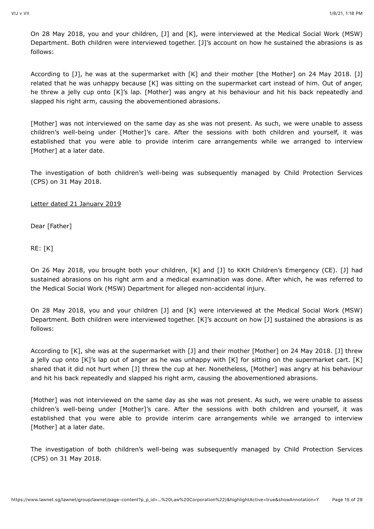On 28 May 2018, you and your children, [J] and [K], were interviewed at the Medical Social Work (MSW) Department. Both children were interviewed together. [J]'s account on how he sustained the abrasions is as follows:

According to [J], he was at the supermarket with [K] and their mother [the Mother] on 24 May 2018. [J] related that he was unhappy because [K] was sitting on the supermarket cart instead of him. Out of anger, he threw a jelly cup onto [K]'s lap. [Mother] was angry at his behaviour and hit his back repeatedly and slapped his right arm, causing the abovementioned abrasions.

[Mother] was not interviewed on the same day as she was not present. As such, we were unable to assess children's well-being under [Mother]'s care. After the sessions with both children and yourself, it was established that you were able to provide interim care arrangements while we arranged to interview [Mother] at a later date.

The investigation of both children's well-being was subsequently managed by Child Protection Services (CPS) on 31 May 2018.

Letter dated 21 January 2019

Dear [Father]

RE: [K]

On 26 May 2018, you brought both your children, [K] and [J] to KKH Children's Emergency (CE). [J] had sustained abrasions on his right arm and a medical examination was done. After which, he was referred to the Medical Social Work (MSW) Department for alleged non-accidental injury.

On 28 May 2018, you and your children [J] and [K] were interviewed at the Medical Social Work (MSW) Department. Both children were interviewed together. [K]'s account on how [J] sustained the abrasions is as follows:

According to [K], she was at the supermarket with [J] and their mother [Mother] on 24 May 2018. [J] threw a jelly cup onto [K]'s lap out of anger as he was unhappy with [K] for sitting on the supermarket cart. [K] shared that it did not hurt when [J] threw the cup at her. Nonetheless, [Mother] was angry at his behaviour and hit his back repeatedly and slapped his right arm, causing the abovementioned abrasions.

[Mother] was not interviewed on the same day as she was not present. As such, we were unable to assess children's well-being under [Mother]'s care. After the sessions with both children and yourself, it was established that you were able to provide interim care arrangements while we arranged to interview [Mother] at a later date.

The investigation of both children's well-being was subsequently managed by Child Protection Services (CPS) on 31 May 2018.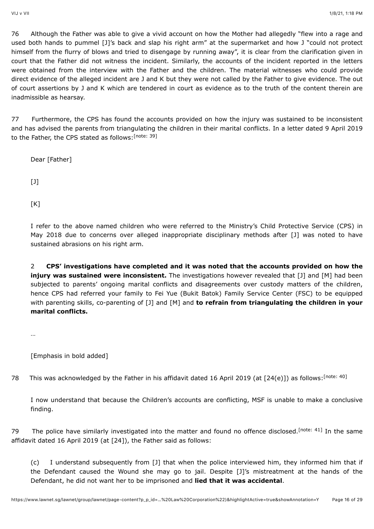76 Although the Father was able to give a vivid account on how the Mother had allegedly "flew into a rage and used both hands to pummel [J]'s back and slap his right arm" at the supermarket and how J "could not protect himself from the flurry of blows and tried to disengage by running away", it is clear from the clarification given in court that the Father did not witness the incident. Similarly, the accounts of the incident reported in the letters were obtained from the interview with the Father and the children. The material witnesses who could provide direct evidence of the alleged incident are J and K but they were not called by the Father to give evidence. The out of court assertions by J and K which are tendered in court as evidence as to the truth of the content therein are inadmissible as hearsay.

77 Furthermore, the CPS has found the accounts provided on how the injury was sustained to be inconsistent and has advised the parents from triangulating the children in their marital conflicts. In a letter dated 9 April 2019 to the Father, the CPS stated as follows: [\[note: 39\]](#page-27-9)

<span id="page-15-0"></span>Dear [Father] [J]  $[K]$ 

I refer to the above named children who were referred to the Ministry's Child Protective Service (CPS) in May 2018 due to concerns over alleged inappropriate disciplinary methods after [J] was noted to have sustained abrasions on his right arm.

2 **CPS' investigations have completed and it was noted that the accounts provided on how the injury was sustained were inconsistent.** The investigations however revealed that [J] and [M] had been subjected to parents' ongoing marital conflicts and disagreements over custody matters of the children, hence CPS had referred your family to Fei Yue (Bukit Batok) Family Service Center (FSC) to be equipped with parenting skills, co-parenting of [J] and [M] and **to refrain from triangulating the children in your marital conflicts.**

…

<span id="page-15-1"></span>[Emphasis in bold added]

78 This was acknowledged by the Father in his affidavit dated 16 April 2019 (at [24(e)]) as follows: [\[note: 40\]](#page-27-10)

<span id="page-15-2"></span>I now understand that because the Children's accounts are conflicting, MSF is unable to make a conclusive finding.

79The police have similarly investigated into the matter and found no offence disclosed.<sup>[note: 41]</sup> In the same affidavit dated 16 April 2019 (at [24]), the Father said as follows:

(c) I understand subsequently from [J] that when the police interviewed him, they informed him that if the Defendant caused the Wound she may go to jail. Despite [J]'s mistreatment at the hands of the Defendant, he did not want her to be imprisoned and **lied that it was accidental**.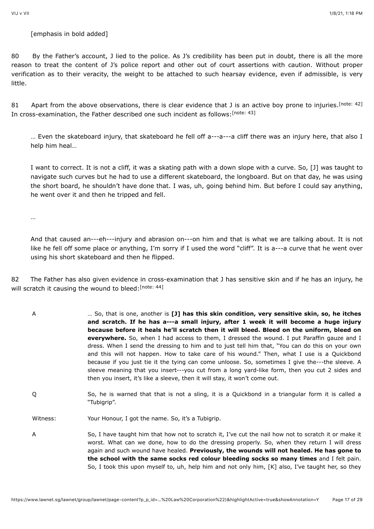[emphasis in bold added]

80 By the Father's account, J lied to the police. As J's credibility has been put in doubt, there is all the more reason to treat the content of J's police report and other out of court assertions with caution. Without proper verification as to their veracity, the weight to be attached to such hearsay evidence, even if admissible, is very little.

81 Apart from the above observations, there is clear evidence that J is an active boy prone to injuries. [\[note: 42\]](#page-27-12) In cross-examination, the Father described one such incident as follows:<sup>[\[note: 43\]](#page-27-13)</sup>

<span id="page-16-1"></span><span id="page-16-0"></span>… Even the skateboard injury, that skateboard he fell off a---a---a cliff there was an injury here, that also I help him heal…

I want to correct. It is not a cliff, it was a skating path with a down slope with a curve. So, [J] was taught to navigate such curves but he had to use a different skateboard, the longboard. But on that day, he was using the short board, he shouldn't have done that. I was, uh, going behind him. But before I could say anything, he went over it and then he tripped and fell.

…

And that caused an---eh---injury and abrasion on---on him and that is what we are talking about. It is not like he fell off some place or anything, I'm sorry if I used the word "cliff". It is a---a curve that he went over using his short skateboard and then he flipped.

82 The Father has also given evidence in cross-examination that J has sensitive skin and if he has an injury, he will scratch it causing the wound to bleed: [\[note: 44\]](#page-27-14)

- <span id="page-16-2"></span>A … So, that is one, another is **[J] has this skin condition, very sensitive skin, so, he itches and scratch. If he has a---a small injury, after 1 week it will become a huge injury because before it heals he'll scratch then it will bleed. Bleed on the uniform, bleed on everywhere.** So, when I had access to them, I dressed the wound. I put Paraffin gauze and I dress. When I send the dressing to him and to just tell him that, "You can do this on your own and this will not happen. How to take care of his wound." Then, what I use is a Quickbond because if you just tie it the tying can come unloose. So, sometimes I give the---the sleeve. A sleeve meaning that you insert---you cut from a long yard-like form, then you cut 2 sides and then you insert, it's like a sleeve, then it will stay, it won't come out.
- Q So, he is warned that that is not a sling, it is a Quickbond in a triangular form it is called a "Tubigrip".

Witness: Your Honour, I got the name. So, it's a Tubigrip.

A So, I have taught him that how not to scratch it, I've cut the nail how not to scratch it or make it worst. What can we done, how to do the dressing properly. So, when they return I will dress again and such wound have healed. **Previously, the wounds will not healed. He has gone to the school with the same socks red colour bleeding socks so many times** and I felt pain. So, I took this upon myself to, uh, help him and not only him, [K] also, I've taught her, so they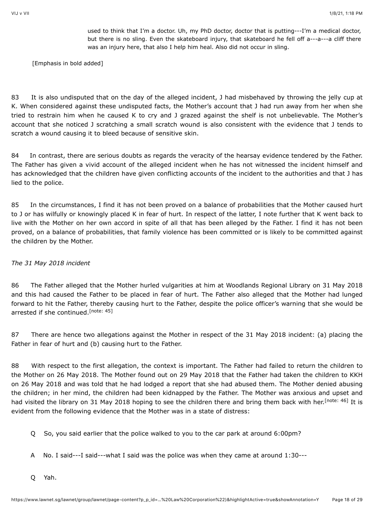used to think that I'm a doctor. Uh, my PhD doctor, doctor that is putting---I'm a medical doctor, but there is no sling. Even the skateboard injury, that skateboard he fell off a---a---a cliff there was an injury here, that also I help him heal. Also did not occur in sling.

[Emphasis in bold added]

83 It is also undisputed that on the day of the alleged incident, J had misbehaved by throwing the jelly cup at K. When considered against these undisputed facts, the Mother's account that J had run away from her when she tried to restrain him when he caused K to cry and J grazed against the shelf is not unbelievable. The Mother's account that she noticed J scratching a small scratch wound is also consistent with the evidence that J tends to scratch a wound causing it to bleed because of sensitive skin.

84 In contrast, there are serious doubts as regards the veracity of the hearsay evidence tendered by the Father. The Father has given a vivid account of the alleged incident when he has not witnessed the incident himself and has acknowledged that the children have given conflicting accounts of the incident to the authorities and that J has lied to the police.

85 In the circumstances, I find it has not been proved on a balance of probabilities that the Mother caused hurt to J or has wilfully or knowingly placed K in fear of hurt. In respect of the latter, I note further that K went back to live with the Mother on her own accord in spite of all that has been alleged by the Father. I find it has not been proved, on a balance of probabilities, that family violence has been committed or is likely to be committed against the children by the Mother.

# *The 31 May 2018 incident*

<span id="page-17-0"></span>86 The Father alleged that the Mother hurled vulgarities at him at Woodlands Regional Library on 31 May 2018 and this had caused the Father to be placed in fear of hurt. The Father also alleged that the Mother had lunged forward to hit the Father, thereby causing hurt to the Father, despite the police officer's warning that she would be arrested if she continued.<sup>[\[note: 45\]](#page-27-15)</sup>

87 There are hence two allegations against the Mother in respect of the 31 May 2018 incident: (a) placing the Father in fear of hurt and (b) causing hurt to the Father.

88 With respect to the first allegation, the context is important. The Father had failed to return the children to the Mother on 26 May 2018. The Mother found out on 29 May 2018 that the Father had taken the children to KKH on 26 May 2018 and was told that he had lodged a report that she had abused them. The Mother denied abusing the children; in her mind, the children had been kidnapped by the Father. The Mother was anxious and upset and had visited the library on 31 May 2018 hoping to see the children there and bring them back with her.<sup>[note: 46]</sup> It is evident from the following evidence that the Mother was in a state of distress:

- <span id="page-17-1"></span>Q So, you said earlier that the police walked to you to the car park at around 6:00pm?
- A No. I said---I said---what I said was the police was when they came at around 1:30---
- Q Yah.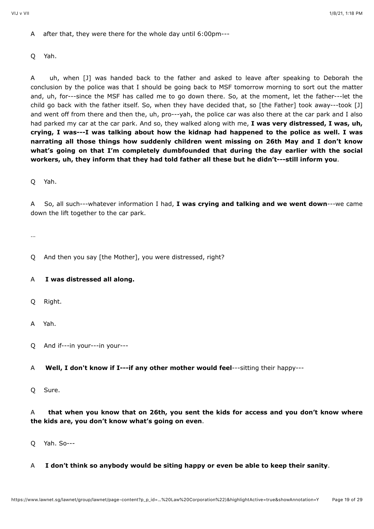A after that, they were there for the whole day until 6:00pm---

Q Yah.

A uh, when [J] was handed back to the father and asked to leave after speaking to Deborah the conclusion by the police was that I should be going back to MSF tomorrow morning to sort out the matter and, uh, for---since the MSF has called me to go down there. So, at the moment, let the father---let the child go back with the father itself. So, when they have decided that, so [the Father] took away---took [J] and went off from there and then the, uh, pro---yah, the police car was also there at the car park and I also had parked my car at the car park. And so, they walked along with me, **I was very distressed, I was, uh, crying, I was---I was talking about how the kidnap had happened to the police as well. I was narrating all those things how suddenly children went missing on 26th May and I don't know what's going on that I'm completely dumbfounded that during the day earlier with the social workers, uh, they inform that they had told father all these but he didn't---still inform you**.

Q Yah.

A So, all such---whatever information I had, **I was crying and talking and we went down**---we came down the lift together to the car park.

…

Q And then you say [the Mother], you were distressed, right?

# A **I was distressed all along.**

Q Right.

A Yah.

- Q And if---in your---in your---
- A **Well, I don't know if I---if any other mother would feel**---sitting their happy---
- Q Sure.

# A **that when you know that on 26th, you sent the kids for access and you don't know where the kids are, you don't know what's going on even**.

- Q Yah. So---
- A **I don't think so anybody would be siting happy or even be able to keep their sanity**.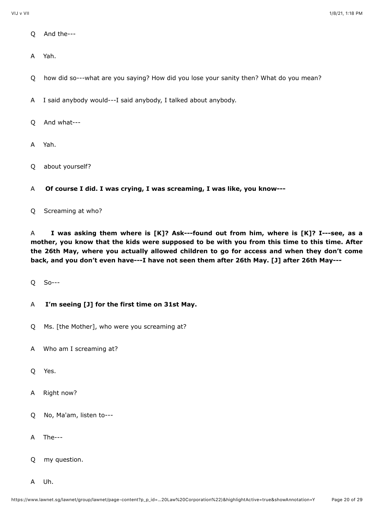- Q And the---
- A Yah.

Q how did so---what are you saying? How did you lose your sanity then? What do you mean?

A I said anybody would---I said anybody, I talked about anybody.

Q And what---

A Yah.

Q about yourself?

A **Of course I did. I was crying, I was screaming, I was like, you know---**

Q Screaming at who?

A **I was asking them where is [K]? Ask---found out from him, where is [K]? I---see, as a mother, you know that the kids were supposed to be with you from this time to this time. After the 26th May, where you actually allowed children to go for access and when they don't come back, and you don't even have---I have not seen them after 26th May. [J] after 26th May---**

Q So---

# A **I'm seeing [J] for the first time on 31st May.**

- Q Ms. [the Mother], who were you screaming at?
- A Who am I screaming at?
- Q Yes.
- A Right now?
- Q No, Ma'am, listen to---
- A The---
- Q my question.
- A Uh.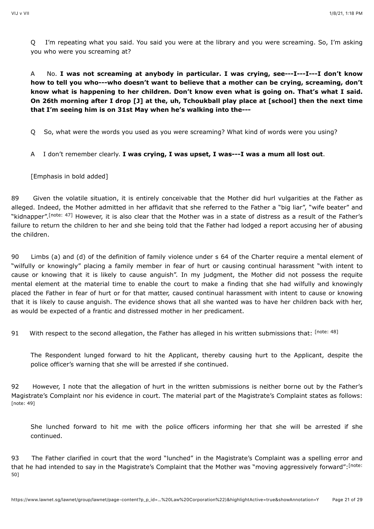Q I'm repeating what you said. You said you were at the library and you were screaming. So, I'm asking you who were you screaming at?

A No. **I was not screaming at anybody in particular. I was crying, see---I---I---I don't know how to tell you who---who doesn't want to believe that a mother can be crying, screaming, don't know what is happening to her children. Don't know even what is going on. That's what I said. On 26th morning after I drop [J] at the, uh, Tchoukball play place at [school] then the next time that I'm seeing him is on 31st May when he's walking into the---**

Q So, what were the words you used as you were screaming? What kind of words were you using?

A I don't remember clearly. **I was crying, I was upset, I was---I was a mum all lost out**.

[Emphasis in bold added]

<span id="page-20-0"></span>89 Given the volatile situation, it is entirely conceivable that the Mother did hurl vulgarities at the Father as alleged. Indeed, the Mother admitted in her affidavit that she referred to the Father a "big liar", "wife beater" and "kidnapper".<sup>[note: 47]</sup> However, it is also clear that the Mother was in a state of distress as a result of the Father's failure to return the children to her and she being told that the Father had lodged a report accusing her of abusing the children.

90 Limbs (a) and (d) of the definition of family violence under s 64 of the Charter require a mental element of "wilfully or knowingly" placing a family member in fear of hurt or causing continual harassment "with intent to cause or knowing that it is likely to cause anguish". In my judgment, the Mother did not possess the requite mental element at the material time to enable the court to make a finding that she had wilfully and knowingly placed the Father in fear of hurt or for that matter, caused continual harassment with intent to cause or knowing that it is likely to cause anguish. The evidence shows that all she wanted was to have her children back with her, as would be expected of a frantic and distressed mother in her predicament.

91 With respect to the second allegation, the Father has alleged in his written submissions that: [\[note: 48\]](#page-27-18)

<span id="page-20-1"></span>The Respondent lunged forward to hit the Applicant, thereby causing hurt to the Applicant, despite the police officer's warning that she will be arrested if she continued.

<span id="page-20-2"></span>92 However, I note that the allegation of hurt in the written submissions is neither borne out by the Father's Magistrate's Complaint nor his evidence in court. The material part of the Magistrate's Complaint states as follows: [\[note: 49\]](#page-27-19)

She lunched forward to hit me with the police officers informing her that she will be arrested if she continued.

<span id="page-20-3"></span>93 The Father clarified in court that the word "lunched" in the Magistrate's Complaint was a spelling error and [that he had intended to say in the Magistrate's Complaint that the Mother was "moving aggressively forward":](#page-27-20)<sup>[note:</sup> 50]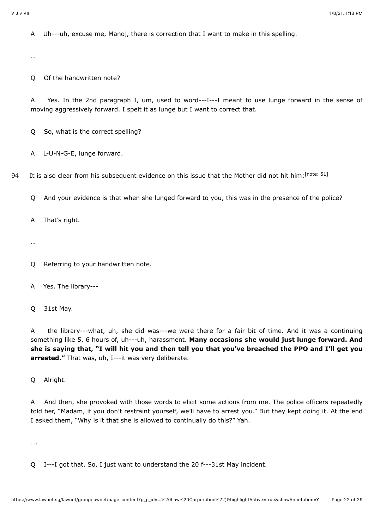A Uh---uh, excuse me, Manoj, there is correction that I want to make in this spelling.

…

Q Of the handwritten note?

A Yes. In the 2nd paragraph I, um, used to word---I---I meant to use lunge forward in the sense of moving aggressively forward. I spelt it as lunge but I want to correct that.

Q So, what is the correct spelling?

A L-U-N-G-E, lunge forward.

94 It is also clear from his subsequent evidence on this issue that the Mother did not hit him: [\[note: 51\]](#page-27-21)

<span id="page-21-0"></span>Q And your evidence is that when she lunged forward to you, this was in the presence of the police?

A That's right.

…

Q Referring to your handwritten note.

A Yes. The library---

Q 31st May.

A the library---what, uh, she did was---we were there for a fair bit of time. And it was a continuing something like 5, 6 hours of, uh---uh, harassment. **Many occasions she would just lunge forward. And she is saying that, "I will hit you and then tell you that you've breached the PPO and I'll get you arrested."** That was, uh, I---it was very deliberate.

Q Alright.

A And then, she provoked with those words to elicit some actions from me. The police officers repeatedly told her, "Madam, if you don't restraint yourself, we'll have to arrest you." But they kept doing it. At the end I asked them, "Why is it that she is allowed to continually do this?" Yah.

….

Q I---I got that. So, I just want to understand the 20 f---31st May incident.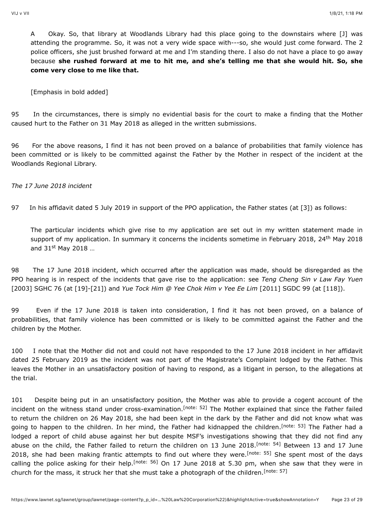A Okay. So, that library at Woodlands Library had this place going to the downstairs where [J] was attending the programme. So, it was not a very wide space with---so, she would just come forward. The 2 police officers, she just brushed forward at me and I'm standing there. I also do not have a place to go away because **she rushed forward at me to hit me, and she's telling me that she would hit. So, she come very close to me like that.**

[Emphasis in bold added]

95 In the circumstances, there is simply no evidential basis for the court to make a finding that the Mother caused hurt to the Father on 31 May 2018 as alleged in the written submissions.

96 For the above reasons, I find it has not been proved on a balance of probabilities that family violence has been committed or is likely to be committed against the Father by the Mother in respect of the incident at the Woodlands Regional Library.

*The 17 June 2018 incident*

97 In his affidavit dated 5 July 2019 in support of the PPO application, the Father states (at [3]) as follows:

The particular incidents which give rise to my application are set out in my written statement made in support of my application. In summary it concerns the incidents sometime in February 2018, 24<sup>th</sup> May 2018 and 31st May 2018 ...

98 The 17 June 2018 incident, which occurred after the application was made, should be disregarded as the PPO hearing is in respect of the incidents that gave rise to the application: see *Teng Cheng Sin v Law Fay Yuen* [\[2003\] SGHC 76](javascript:viewPageContent() (at [19]-[21]) and *Yue Tock Him @ Yee Chok Him v Yee Ee Lim* [\[2011\] SGDC 99](javascript:viewPageContent() (at [118]).

99 Even if the 17 June 2018 is taken into consideration, I find it has not been proved, on a balance of probabilities, that family violence has been committed or is likely to be committed against the Father and the children by the Mother.

100 I note that the Mother did not and could not have responded to the 17 June 2018 incident in her affidavit dated 25 February 2019 as the incident was not part of the Magistrate's Complaint lodged by the Father. This leaves the Mother in an unsatisfactory position of having to respond, as a litigant in person, to the allegations at the trial.

<span id="page-22-5"></span><span id="page-22-4"></span><span id="page-22-3"></span><span id="page-22-2"></span><span id="page-22-1"></span><span id="page-22-0"></span>101 Despite being put in an unsatisfactory position, the Mother was able to provide a cogent account of the incident on the witness stand under cross-examination.<sup>[note: 52]</sup> The Mother explained that since the Father failed to return the children on 26 May 2018, she had been kept in the dark by the Father and did not know what was going to happen to the children[.](#page-27-23) In her mind, the Father had kidnapped the children.<sup>[note: 53]</sup> The Father had a lodged a report of child abuse against her but despite MSF's investigations showing that they did not find any abuseon the child, the Father failed to return the children on 13 June 2018.<sup>[note: 54]</sup> Between 13 and 17 June 2018,she had been making frantic attempts to find out where they were.<sup>[note: 55]</sup> She spent most of the days calling the police asking for their help[.](#page-27-26)<sup>[note: 56]</sup> On 17 June 2018 at 5.30 pm, when she saw that they were in church for the mass, it struck her that she must take a photograph of the children.<sup>[\[note: 57\]](#page-27-27)</sup>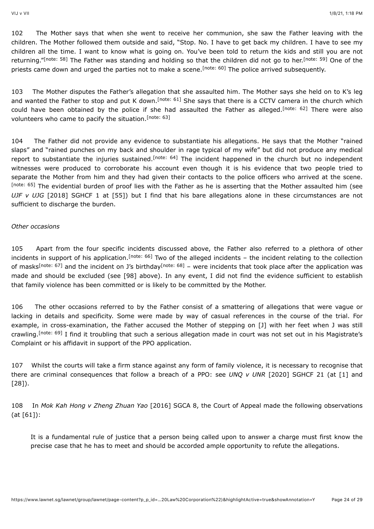<span id="page-23-1"></span><span id="page-23-0"></span>102 The Mother says that when she went to receive her communion, she saw the Father leaving with the children. The Mother followed them outside and said, "Stop. No. I have to get back my children. I have to see my children all the time. I want to know what is going on. You've been told to return the kids and still you are not returning."<sup>[note:58]</sup> The Father was standing and holding so that the children did not go to her.<sup>[note: 59]</sup> One of the priestscame down and urged the parties not to make a scene.<sup>[note: 60]</sup> The police arrived subsequently.

<span id="page-23-5"></span><span id="page-23-4"></span><span id="page-23-3"></span><span id="page-23-2"></span>103 The Mother disputes the Father's allegation that she assaulted him. The Mother says she held on to K's leg and wanted the Father to stop and put K down[.](#page-27-31)<sup>[note: 61]</sup> She says that there is a CCTV camera in the church which could have been obtained by the police if she had assaulted the Father as alleged[.](#page-28-0)<sup>[note: 62]</sup> There were also volunteers who came to pacify the situation.<sup>[\[note: 63\]](#page-28-1)</sup>

<span id="page-23-7"></span><span id="page-23-6"></span>104 The Father did not provide any evidence to substantiate his allegations. He says that the Mother "rained slaps" and "rained punches on my back and shoulder in rage typical of my wife" but did not produce any medical report to substantiate the injuries sustained.<sup>[note: 64]</sup> The incident happened in the church but no independent witnesses were produced to corroborate his account even though it is his evidence that two people tried to separate the Mother from him and they had given their contacts to the police officers who arrived at the scene. [\[note: 65\]](#page-28-3) The evidential burden of proof lies with the Father as he is asserting that the Mother assaulted him (see *UJF v UJG* [\[2018\] SGHCF 1](javascript:viewPageContent() at [55]) but I find that his bare allegations alone in these circumstances are not sufficient to discharge the burden.

#### *Other occasions*

<span id="page-23-10"></span><span id="page-23-9"></span><span id="page-23-8"></span>105 Apart from the four specific incidents discussed above, the Father also referred to a plethora of other incidents in support of his application.<sup>[note: 66]</sup> Two of the alleged incidents – the incident relating to the collection ofmasks<sup>[note: 67]</sup> and the incident on J's birthday<sup>[note: 68]</sup> – were incidents that took place after the application was made and should be excluded (see [98] above). In any event, I did not find the evidence sufficient to establish that family violence has been committed or is likely to be committed by the Mother.

<span id="page-23-11"></span>106 The other occasions referred to by the Father consist of a smattering of allegations that were vague or lacking in details and specificity. Some were made by way of casual references in the course of the trial. For example, in cross-examination, the Father accused the Mother of stepping on [J] with her feet when J was still crawling[.](#page-28-7)<sup>[note: 69]</sup> I find it troubling that such a serious allegation made in court was not set out in his Magistrate's Complaint or his affidavit in support of the PPO application.

107 Whilst the courts will take a firm stance against any form of family violence, it is necessary to recognise that there are criminal consequences that follow a breach of a PPO: see *UNQ v UNR* [\[2020\] SGHCF 21](javascript:viewPageContent() (at [1] and [28]).

108 In *Mok Kah Hong v Zheng Zhuan Yao* [\[2016\] SGCA 8,](javascript:viewPageContent() the Court of Appeal made the following observations (at [61]):

It is a fundamental rule of justice that a person being called upon to answer a charge must first know the precise case that he has to meet and should be accorded ample opportunity to refute the allegations.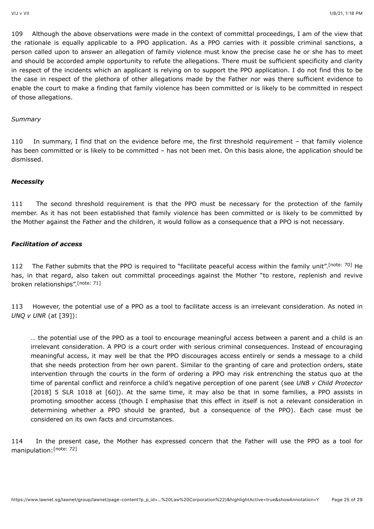109 Although the above observations were made in the context of committal proceedings, I am of the view that the rationale is equally applicable to a PPO application. As a PPO carries with it possible criminal sanctions, a person called upon to answer an allegation of family violence must know the precise case he or she has to meet and should be accorded ample opportunity to refute the allegations. There must be sufficient specificity and clarity in respect of the incidents which an applicant is relying on to support the PPO application. I do not find this to be the case in respect of the plethora of other allegations made by the Father nor was there sufficient evidence to enable the court to make a finding that family violence has been committed or is likely to be committed in respect of those allegations.

#### *Summary*

110 In summary, I find that on the evidence before me, the first threshold requirement – that family violence has been committed or is likely to be committed – has not been met. On this basis alone, the application should be dismissed.

#### *Necessity*

111 The second threshold requirement is that the PPO must be necessary for the protection of the family member. As it has not been established that family violence has been committed or is likely to be committed by the Mother against the Father and the children, it would follow as a consequence that a PPO is not necessary.

# *Facilitation of access*

<span id="page-24-1"></span>112 The Father submits that the PPO is required to "facilitate peaceful access within the family unit"[.](#page-28-8) [note: 70] He has, in that regard, also taken out committal proceedings against the Mother "to restore, replenish and revive broken relationships".<sup>[\[note: 71\]](#page-28-9)</sup>

113 However, the potential use of a PPO as a tool to facilitate access is an irrelevant consideration. As noted in *UNQ v UNR* (at [39]):

<span id="page-24-0"></span>… the potential use of the PPO as a tool to encourage meaningful access between a parent and a child is an irrelevant consideration. A PPO is a court order with serious criminal consequences. Instead of encouraging meaningful access, it may well be that the PPO discourages access entirely or sends a message to a child that she needs protection from her own parent. Similar to the granting of care and protection orders, state intervention through the courts in the form of ordering a PPO may risk entrenching the status quo at the time of parental conflict and reinforce a child's negative perception of one parent (see *UNB v Child Protector* [\[2018\] 5 SLR 1018](javascript:viewPageContent() at [60]). At the same time, it may also be that in some families, a PPO assists in promoting smoother access (though I emphasise that this effect in itself is not a relevant consideration in determining whether a PPO should be granted, but a consequence of the PPO). Each case must be considered on its own facts and circumstances.

<span id="page-24-2"></span>114 In the present case, the Mother has expressed concern that the Father will use the PPO as a tool for manipulation: [\[note: 72\]](#page-28-10)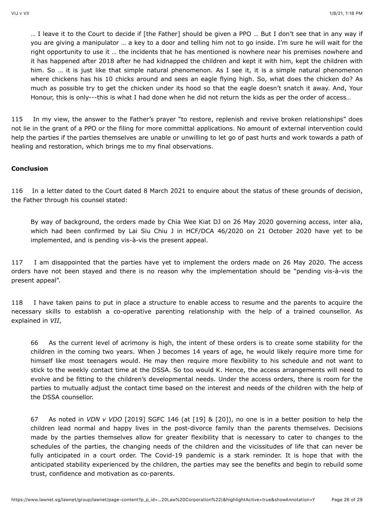… I leave it to the Court to decide if [the Father] should be given a PPO … But I don't see that in any way if you are giving a manipulator … a key to a door and telling him not to go inside. I'm sure he will wait for the right opportunity to use it … the incidents that he has mentioned is nowhere near his premises nowhere and it has happened after 2018 after he had kidnapped the children and kept it with him, kept the children with him. So ... it is just like that simple natural phenomenon. As I see it, it is a simple natural phenomenon where chickens has his 10 chicks around and sees an eagle flying high. So, what does the chicken do? As much as possible try to get the chicken under its hood so that the eagle doesn't snatch it away. And, Your Honour, this is only---this is what I had done when he did not return the kids as per the order of access…

115 In my view, the answer to the Father's prayer "to restore, replenish and revive broken relationships" does not lie in the grant of a PPO or the filing for more committal applications. No amount of external intervention could help the parties if the parties themselves are unable or unwilling to let go of past hurts and work towards a path of healing and restoration, which brings me to my final observations.

#### **Conclusion**

116 In a letter dated to the Court dated 8 March 2021 to enquire about the status of these grounds of decision, the Father through his counsel stated:

By way of background, the orders made by Chia Wee Kiat DJ on 26 May 2020 governing access, inter alia, which had been confirmed by Lai Siu Chiu J in HCF/DCA 46/2020 on 21 October 2020 have yet to be implemented, and is pending vis-à-vis the present appeal.

117 I am disappointed that the parties have yet to implement the orders made on 26 May 2020. The access orders have not been stayed and there is no reason why the implementation should be "pending vis-à-vis the present appeal".

118 I have taken pains to put in place a structure to enable access to resume and the parents to acquire the necessary skills to establish a co-operative parenting relationship with the help of a trained counsellor. As explained in *VII*,

66 As the current level of acrimony is high, the intent of these orders is to create some stability for the children in the coming two years. When J becomes 14 years of age, he would likely require more time for himself like most teenagers would. He may then require more flexibility to his schedule and not want to stick to the weekly contact time at the DSSA. So too would K. Hence, the access arrangements will need to evolve and be fitting to the children's developmental needs. Under the access orders, there is room for the parties to mutually adjust the contact time based on the interest and needs of the children with the help of the DSSA counsellor.

67 As noted in *VDN v VDO* [\[2019\] SGFC 146](javascript:viewPageContent() (at [19] & [20]), no one is in a better position to help the children lead normal and happy lives in the post-divorce family than the parents themselves. Decisions made by the parties themselves allow for greater flexibility that is necessary to cater to changes to the schedules of the parties, the changing needs of the children and the vicissitudes of life that can never be fully anticipated in a court order. The Covid-19 pandemic is a stark reminder. It is hope that with the anticipated stability experienced by the children, the parties may see the benefits and begin to rebuild some trust, confidence and motivation as co-parents.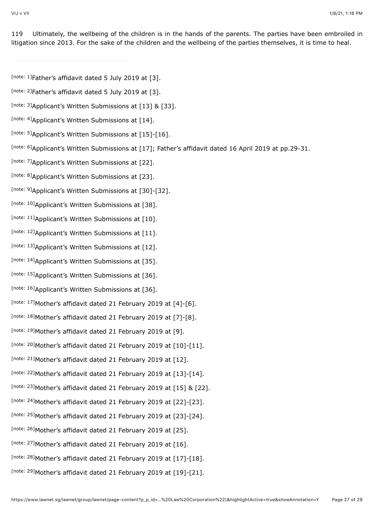119 Ultimately, the wellbeing of the children is in the hands of the parents. The parties have been embroiled in litigation since 2013. For the sake of the children and the wellbeing of the parties themselves, it is time to heal.

- <span id="page-26-0"></span>[\[note: 1\]](#page-4-0)Father's affidavit dated 5 July 2019 at [3].
- <span id="page-26-1"></span>[\[note: 2\]](#page-4-1)Father's affidavit dated 5 July 2019 at [3].
- <span id="page-26-2"></span>[\[note: 3\]](#page-4-2) Applicant's Written Submissions at [13] & [33].
- <span id="page-26-3"></span>[\[note: 4\]](#page-4-3) Applicant's Written Submissions at [14].
- <span id="page-26-4"></span>[\[note: 5\]](#page-5-0) Applicant's Written Submissions at [15]-[16].
- <span id="page-26-5"></span>[\[note: 6\]](#page-5-1)Applicant's Written Submissions at [17]; Father's affidavit dated 16 April 2019 at pp.29-31.
- <span id="page-26-6"></span>[\[note: 7\]](#page-5-2) Applicant's Written Submissions at [22].
- <span id="page-26-7"></span>[\[note: 8\]](#page-5-3) Applicant's Written Submissions at [23].
- <span id="page-26-8"></span>[\[note: 9\]](#page-5-4) Applicant's Written Submissions at [30]-[32].
- <span id="page-26-9"></span>[\[note: 10\]](#page-6-0) Applicant's Written Submissions at [38].
- <span id="page-26-10"></span>[\[note: 11\]](#page-6-1) Applicant's Written Submissions at [10].
- <span id="page-26-11"></span>[\[note: 12\]](#page-6-2) Applicant's Written Submissions at [11].
- <span id="page-26-12"></span>[\[note: 13\]](#page-6-3) Applicant's Written Submissions at [12].
- <span id="page-26-13"></span>[\[note: 14\]](#page-6-4) Applicant's Written Submissions at [35].
- <span id="page-26-14"></span>[\[note: 15\]](#page-6-5) Applicant's Written Submissions at [36].
- <span id="page-26-15"></span>[\[note: 16\]](#page-6-6) Applicant's Written Submissions at [36].
- <span id="page-26-16"></span>[\[note: 17\]](#page-7-0) Mother's affidavit dated 21 February 2019 at  $[4]$ - $[6]$ .
- <span id="page-26-17"></span>[\[note: 18\]](#page-7-1)Mother's affidavit dated 21 February 2019 at [7]-[8].
- <span id="page-26-18"></span>[\[note: 19\]](#page-7-2)Mother's affidavit dated 21 February 2019 at [9].
- <span id="page-26-19"></span>[\[note: 20\]](#page-7-3)Mother's affidavit dated 21 February 2019 at  $[10]$ - $[11]$ .
- <span id="page-26-20"></span>[\[note: 21\]](#page-7-4)Mother's affidavit dated 21 February 2019 at [12].
- <span id="page-26-21"></span>[\[note: 22\]](#page-7-5) Mother's affidavit dated 21 February 2019 at  $[13]$ - $[14]$ .
- <span id="page-26-22"></span>[\[note: 23\]](#page-7-6) Mother's affidavit dated 21 February 2019 at  $[15]$  &  $[22]$ .
- <span id="page-26-23"></span>[\[note: 24\]](#page-7-7) Mother's affidavit dated 21 February 2019 at [22]-[23].
- <span id="page-26-24"></span>[\[note: 25\]](#page-7-8)Mother's affidavit dated 21 February 2019 at [23]-[24].
- <span id="page-26-25"></span>[\[note: 26\]](#page-8-0) Mother's affidavit dated 21 February 2019 at [25].
- <span id="page-26-26"></span>[\[note: 27\]](#page-8-1) Mother's affidavit dated 21 February 2019 at [16].
- <span id="page-26-27"></span>[note:  $^{28}$ ]Mother's affidavit dated 21 February 2019 at [17]-[18].
- <span id="page-26-28"></span>[\[note: 29\]](#page-8-3)Mother's affidavit dated 21 February 2019 at [19]-[21].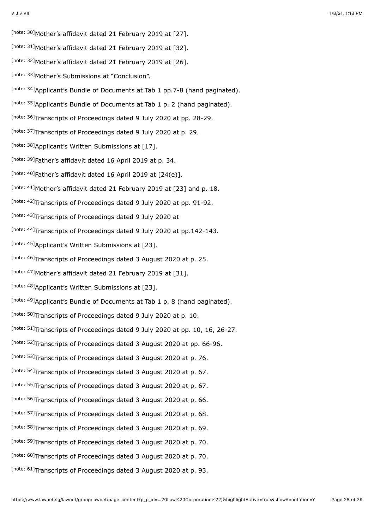<span id="page-27-31"></span><span id="page-27-30"></span><span id="page-27-29"></span><span id="page-27-28"></span><span id="page-27-27"></span><span id="page-27-26"></span><span id="page-27-25"></span><span id="page-27-24"></span><span id="page-27-23"></span><span id="page-27-22"></span><span id="page-27-21"></span><span id="page-27-20"></span><span id="page-27-19"></span><span id="page-27-18"></span><span id="page-27-17"></span><span id="page-27-16"></span><span id="page-27-15"></span><span id="page-27-14"></span><span id="page-27-13"></span><span id="page-27-12"></span><span id="page-27-11"></span><span id="page-27-10"></span><span id="page-27-9"></span><span id="page-27-8"></span><span id="page-27-7"></span><span id="page-27-6"></span><span id="page-27-5"></span><span id="page-27-4"></span><span id="page-27-3"></span><span id="page-27-2"></span><span id="page-27-1"></span><span id="page-27-0"></span>[\[note: 30\]](#page-8-4)Mother's affidavit dated 21 February 2019 at [27]. [\[note: 31\]](#page-8-5)Mother's affidavit dated 21 February 2019 at [32]. [\[note: 32\]](#page-9-0)Mother's affidavit dated 21 February 2019 at [26]. [\[note: 33\]](#page-9-1) Mother's Submissions at "Conclusion". [\[note: 34\]](#page-10-0) Applicant's Bundle of Documents at Tab 1 pp.7-8 (hand paginated). [\[note: 35\]](#page-12-0) Applicant's Bundle of Documents at Tab 1 p. 2 (hand paginated). [\[note: 36\]](#page-13-0)Transcripts of Proceedings dated 9 July 2020 at pp. 28-29. [\[note: 37\]](#page-13-1)Transcripts of Proceedings dated 9 July 2020 at p. 29. [\[note: 38\]](#page-13-2) Applicant's Written Submissions at [17]. [\[note: 39\]](#page-15-0)Father's affidavit dated 16 April 2019 at p. 34. [note:  $40$ ]Father's affidavit dated 16 April 2019 at  $[24(e)].$ [\[note: 41\]](#page-15-2) Mother's affidavit dated 21 February 2019 at [23] and p. 18. [\[note: 42\]](#page-16-0)Transcripts of Proceedings dated 9 July 2020 at pp. 91-92. [\[note: 43\]](#page-16-1)Transcripts of Proceedings dated 9 July 2020 at [\[note: 44\]](#page-16-2)Transcripts of Proceedings dated 9 July 2020 at pp.142-143. [\[note: 45\]](#page-17-0) Applicant's Written Submissions at [23]. [\[note: 46\]](#page-17-1)Transcripts of Proceedings dated 3 August 2020 at p. 25. [\[note: 47\]](#page-20-0) Mother's affidavit dated 21 February 2019 at [31]. [\[note: 48\]](#page-20-1) Applicant's Written Submissions at [23]. [\[note: 49\]](#page-20-2) Applicant's Bundle of Documents at Tab 1 p. 8 (hand paginated). [\[note: 50\]](#page-20-3)Transcripts of Proceedings dated 9 July 2020 at p. 10. [note:  $51$ ]Transcripts of Proceedings dated 9 July 2020 at pp. 10, 16, 26-27. [\[note: 52\]](#page-22-0)Transcripts of Proceedings dated 3 August 2020 at pp. 66-96. [\[note: 53\]](#page-22-1)Transcripts of Proceedings dated 3 August 2020 at p. 76. [\[note: 54\]](#page-22-2)Transcripts of Proceedings dated 3 August 2020 at p. 67. [\[note: 55\]](#page-22-3)Transcripts of Proceedings dated 3 August 2020 at p. 67. [\[note: 56\]](#page-22-4)Transcripts of Proceedings dated 3 August 2020 at p. 66. [\[note: 57\]](#page-22-5)Transcripts of Proceedings dated 3 August 2020 at p. 68. [\[note: 58\]](#page-23-0)Transcripts of Proceedings dated 3 August 2020 at p. 69. [\[note: 59\]](#page-23-1)Transcripts of Proceedings dated 3 August 2020 at p. 70. [\[note: 60\]](#page-23-2)Transcripts of Proceedings dated 3 August 2020 at p. 70. [\[note: 61\]](#page-23-3)Transcripts of Proceedings dated 3 August 2020 at p. 93.